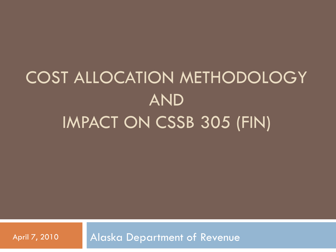# COST ALLOCATION METHODOLOGY AND IMPACT ON CSSB 305 (FIN)

April 7, 2010 | Alaska Department of Revenue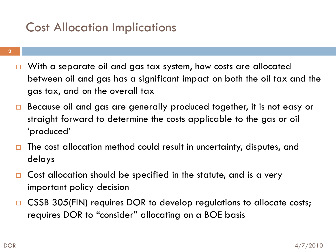## Cost Allocation Implications

- □ With a separate oil and gas tax system, how costs are allocated between oil and gas has a significant impact on both the oil tax and the gas tax, and on the overall tax
- □ Because oil and gas are generally produced together, it is not easy or straight forward to determine the costs applicable to the gas or oil "produced"
- $\Box$  The cost allocation method could result in uncertainty, disputes, and delays
- $\Box$  Cost allocation should be specified in the statute, and is a very important policy decision
- □ CSSB 305(FIN) requires DOR to develop regulations to allocate costs; requires DOR to "consider" allocating on a BOE basis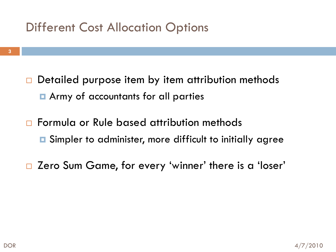## Different Cost Allocation Options

- $\Box$  Detailed purpose item by item attribution methods **E** Army of accountants for all parties
- □ Formula or Rule based attribution methods  $\blacksquare$  Simpler to administer, more difficult to initially agree
- □ Zero Sum Game, for every 'winner' there is a 'loser'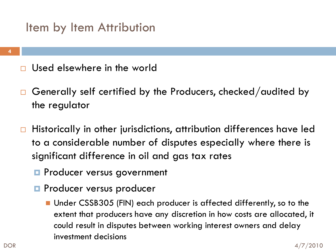#### Item by Item Attribution

- Used elsewhere in the world
- $\Box$  Generally self certified by the Producers, checked/audited by the regulator
- $\Box$  Historically in other jurisdictions, attribution differences have led to a considerable number of disputes especially where there is significant difference in oil and gas tax rates
	- **Producer versus government**
	- **Producer versus producer** 
		- Under CSSB305 (FIN) each producer is affected differently, so to the extent that producers have any discretion in how costs are allocated, it could result in disputes between working interest owners and delay investment decisions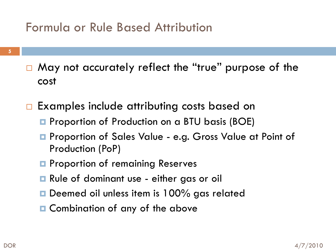#### Formula or Rule Based Attribution

- □ May not accurately reflect the "true" purpose of the cost
- □ Examples include attributing costs based on
	- **P** Proportion of Production on a BTU basis (BOE)
	- **Proportion of Sales Value e.g. Gross Value at Point of** Production (PoP)
	- **P** Proportion of remaining Reserves
	- Rule of dominant use either gas or oil
	- **□** Deemed oil unless item is 100% gas related
	- **□** Combination of any of the above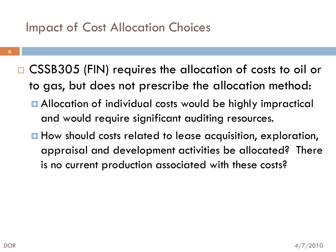#### Impact of Cost Allocation Choices

- **6**
- □ CSSB305 (FIN) requires the allocation of costs to oil or to gas, but does not prescribe the allocation method:
	- Allocation of individual costs would be highly impractical and would require significant auditing resources.
	- How should costs related to lease acquisition, exploration, appraisal and development activities be allocated? There is no current production associated with these costs?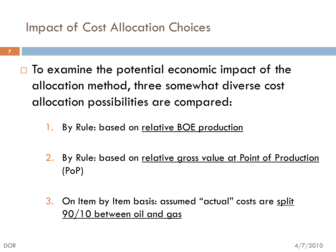#### Impact of Cost Allocation Choices

- $\Box$  To examine the potential economic impact of the allocation method, three somewhat diverse cost allocation possibilities are compared:
	- 1. By Rule: based on relative BOE production
	- 2. By Rule: based on relative gross value at Point of Production (PoP)
	- 3. On Item by Item basis: assumed "actual" costs are split 90/10 between oil and gas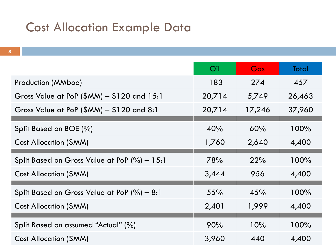#### Cost Allocation Example Data

|                                               | Oil    | Gas    | Total  |
|-----------------------------------------------|--------|--------|--------|
| Production (MMboe)                            | 183    | 274    | 457    |
| Gross Value at PoP $(\$MM) - \$120$ and 15:1  | 20,714 | 5,749  | 26,463 |
| Gross Value at PoP $(\$MM) - \$120$ and $8:1$ | 20,714 | 17,246 | 37,960 |
| Split Based on BOE (%)                        | 40%    | 60%    | 100%   |
| Cost Allocation (\$MM)                        | 1,760  | 2,640  | 4,400  |
|                                               |        |        |        |
| Split Based on Gross Value at PoP $(\%)-15:1$ | 78%    | 22%    | 100%   |
| Cost Allocation (\$MM)                        | 3,444  | 956    | 4,400  |
| Split Based on Gross Value at PoP $(\%)-8.1$  | 55%    | 45%    | 100%   |
| Cost Allocation (\$MM)                        | 2,401  | 1,999  | 4,400  |
|                                               |        |        |        |
| Split Based on assumed "Actual" (%)           | 90%    | 10%    | 100%   |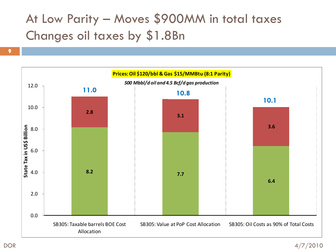# At Low Parity – Moves \$900MM in total taxes Changes oil taxes by \$1.8Bn